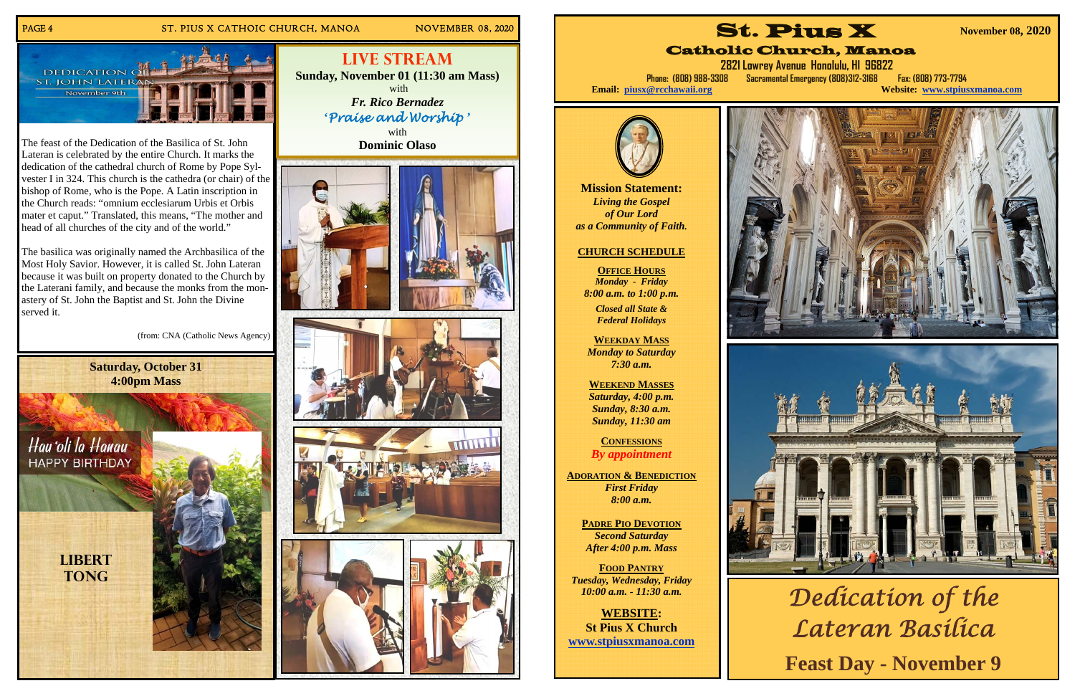# PAGE 4 ST. PIUS X CATHOIC CHURCH, MANOA NOVEMBER 08, 2020





with **Dominic Olaso** 









**Live Stream Sunday, November 01 (11:30 am Mass)**  with*Fr. Rico Bernadez*  **'***Praise and Worship* **'**

The feast of the Dedication of the Basilica of St. John Lateran is celebrated by the entire Church. It marks the dedication of the cathedral church of Rome by Pope Sylvester I in 324. This church is the cathedra (or chair) of the bishop of Rome, who is the Pope. A Latin inscription in the Church reads: "omnium ecclesiarum Urbis et Orbis mater et caput." Translated, this means, "The mother and head of all churches of the city and of the world."

**2821 Lowrey Avenue Honolulu, HI 96822 Phone: (808) 988-3308 Sacramental Emergency (808)312-3168 Fax: (808) 773-7794 Website: www.stpiusxmanoa.com** 

The basilica was originally named the Archbasilica of the Most Holy Savior. However, it is called St. John Lateran because it was built on property donated to the Church by the Laterani family, and because the monks from the monastery of St. John the Baptist and St. John the Divine served it.

(from: CNA (Catholic News Agency)

**Mission Statement:**  *Living the Gospel of Our Lord as a Community of Faith.* 

# **CHURCH SCHEDULE**

**OFFICE HOURS** *Monday - Friday 8:00 a.m. to 1:00 p.m.* 

*Closed all State & Federal Holidays* 

**WEEKDAY MASS**  *Monday to Saturday 7:30 a.m.* 

**WEEKEND MASSES**  *Saturday, 4:00 p.m. Sunday, 8:30 a.m. Sunday, 11:30 am* 

**CONFESSIONS** *By appointment* 

**ADORATION & BENEDICTION** *First Friday 8:00 a.m.* 

> **PADRE PIO DEVOTION** *Second Saturday After 4:00 p.m. Mass*

**FOOD PANTRY***Tuesday, Wednesday, Friday 10:00 a.m. - 11:30 a.m.* 

**WEBSITE: St Pius X Church www.stpiusxmanoa.com** 





# Catholic Church, Manoa

Email: piusx@rcchawaii.org

**November 08, 2020** 





*Dedication of the Lateran Basilica*  **Feast Day - November 9**